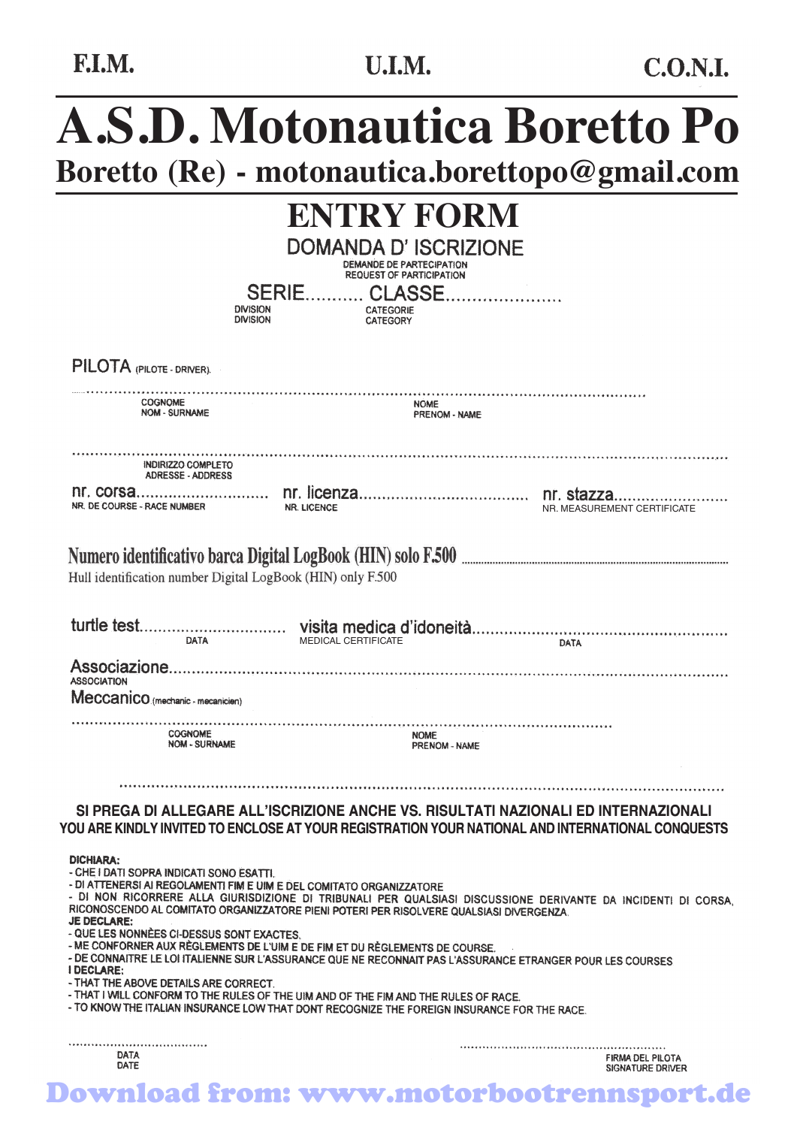F.I.M.

# **A.S.D. Motonautica Boretto Po Boretto (Re) - motonautica.borettopo@gmail.com**

|                                                                                                                                                                                            | <b>ENTRY FORM</b>                                |                              |                                      |
|--------------------------------------------------------------------------------------------------------------------------------------------------------------------------------------------|--------------------------------------------------|------------------------------|--------------------------------------|
|                                                                                                                                                                                            | DOMANDA D'ISCRIZIONE<br>DEMANDE DE PARTECIPATION |                              |                                      |
|                                                                                                                                                                                            | <b>REQUEST OF PARTICIPATION</b>                  |                              |                                      |
| <b>DIVISION</b>                                                                                                                                                                            | SERIE CLASSE.<br>CATEGORIE                       |                              |                                      |
| <b>DIVISION</b>                                                                                                                                                                            | CATEGORY                                         |                              |                                      |
| PILOTA (PILOTE-DRIVER).                                                                                                                                                                    |                                                  |                              |                                      |
| <b>COGNOME</b>                                                                                                                                                                             |                                                  |                              |                                      |
| <b>NOM - SURNAME</b>                                                                                                                                                                       |                                                  | <b>NOME</b><br>PRENOM - NAME |                                      |
|                                                                                                                                                                                            |                                                  |                              |                                      |
| INDIRIZZO COMPLETO<br><b>ADRESSE - ADDRESS</b>                                                                                                                                             |                                                  |                              |                                      |
|                                                                                                                                                                                            |                                                  |                              |                                      |
| NR. DE COURSE - RACE NUMBER                                                                                                                                                                | <b>NR. LICENCE</b>                               |                              | NR. MEASUREMENT CERTIFICATE          |
|                                                                                                                                                                                            |                                                  |                              |                                      |
| Hull identification number Digital LogBook (HIN) only F.500                                                                                                                                |                                                  |                              |                                      |
|                                                                                                                                                                                            |                                                  |                              |                                      |
|                                                                                                                                                                                            |                                                  |                              |                                      |
| DATA                                                                                                                                                                                       | <b>MEDICAL CERTIFICATE</b>                       |                              | DATA                                 |
| <b>ASSOCIATION</b>                                                                                                                                                                         |                                                  |                              |                                      |
| Meccanico (mechanic - mecanicien)                                                                                                                                                          |                                                  |                              |                                      |
| .<br><b>COGNOME</b>                                                                                                                                                                        |                                                  |                              |                                      |
| <b>NOM - SURNAME</b>                                                                                                                                                                       | <b>NOME</b>                                      | PRENOM - NAME                |                                      |
|                                                                                                                                                                                            |                                                  |                              |                                      |
|                                                                                                                                                                                            |                                                  |                              |                                      |
| SI PREGA DI ALLEGARE ALL'ISCRIZIONE ANCHE VS. RISULTATI NAZIONALI ED INTERNAZIONALI<br>YOU ARE KINDLY INVITED TO ENCLOSE AT YOUR REGISTRATION YOUR NATIONAL AND INTERNATIONAL CONQUESTS    |                                                  |                              |                                      |
|                                                                                                                                                                                            |                                                  |                              |                                      |
| <b>DICHIARA:</b><br>- CHE I DATI SOPRA INDICATI SONO ESATTI.                                                                                                                               |                                                  |                              |                                      |
| - DI ATTENERSI AI REGOLAMENTI FIM E UIM E DEL COMITATO ORGANIZZATORE<br>- DI NON RICORRERE ALLA GIURISDIZIONE DI TRIBUNALI PER QUALSIASI DISCUSSIONE DERIVANTE DA INCIDENTI DI CORSA,      |                                                  |                              |                                      |
| RICONOSCENDO AL COMITATO ORGANIZZATORE PIENI POTERI PER RISOLVERE QUALSIASI DIVERGENZA.<br><b>JE DECLARE:</b>                                                                              |                                                  |                              |                                      |
| - QUE LES NONNÈES CI-DESSUS SONT EXACTES.                                                                                                                                                  |                                                  |                              |                                      |
| - ME CONFORNER AUX RÈGLEMENTS DE L'UIM E DE FIM ET DU RÈGLEMENTS DE COURSE.<br>- DE CONNAITRE LE LOI ITALIENNE SUR L'ASSURANCE QUE NE RECONNAIT PAS L'ASSURANCE ETRANGER POUR LES COURSES. |                                                  |                              |                                      |
| <b>I DECLARE:</b><br>- THAT THE ABOVE DETAILS ARE CORRECT.                                                                                                                                 |                                                  |                              |                                      |
| - THAT I WILL CONFORM TO THE RULES OF THE UIM AND OF THE FIM AND THE RULES OF RACE.<br>- TO KNOW THE ITALIAN INSURANCE LOW THAT DONT RECOGNIZE THE FOREIGN INSURANCE FOR THE RACE.         |                                                  |                              |                                      |
|                                                                                                                                                                                            |                                                  |                              |                                      |
| DATA                                                                                                                                                                                       |                                                  |                              |                                      |
| DATE                                                                                                                                                                                       |                                                  |                              | FIRMA DEL PILOTA<br>SIGNATURE DRIVER |

Download from: www.motorbootrennsport.de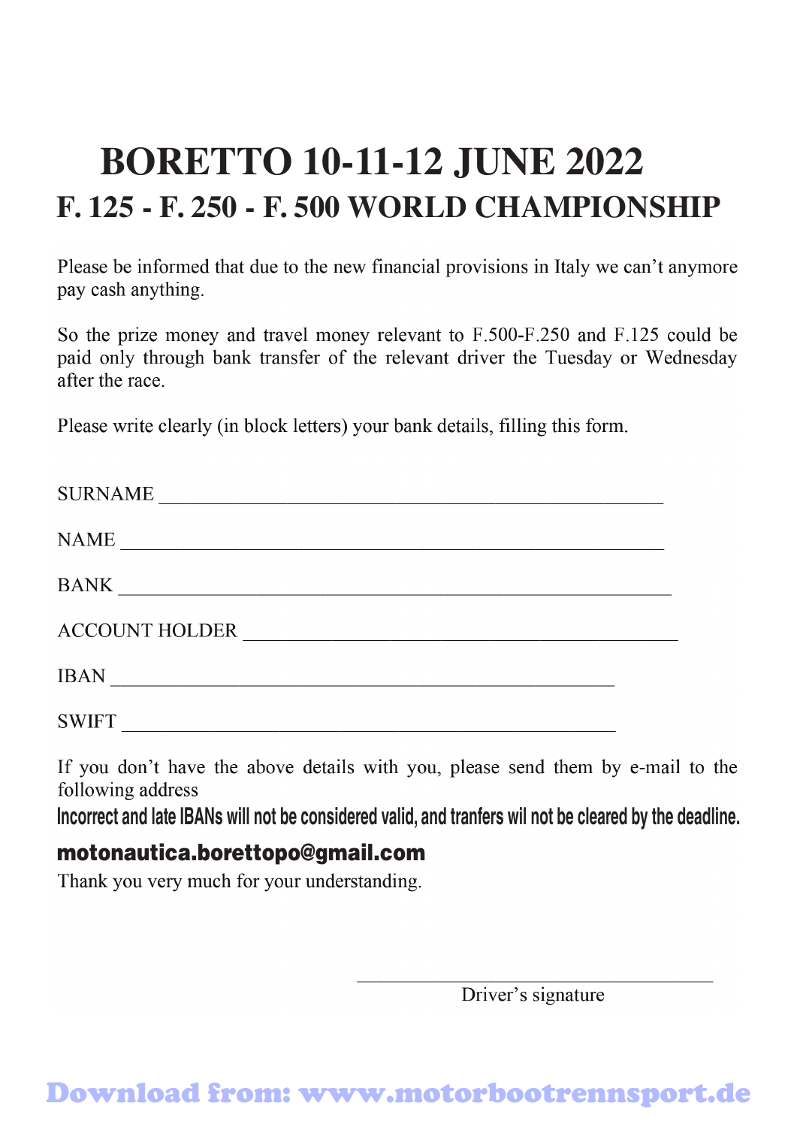## **BORETTO 10-11-12 JUNE 2022 F. 125 - F. 250 - F. 500 WORLD CHAMPIONSHIP**

Please be informed that due to the new financial provisions in Italy we can't anymore pay cash anything.

So the prize money and travel money relevant to F.500-F.250 and F.125 could be paid only through bank transfer of the relevant driver the Tuesday or Wednesday after the race

Please write clearly (in block letters) your bank details, filling this form.

| <b>SURNAME</b>        |  |
|-----------------------|--|
| <b>NAME</b>           |  |
| <b>BANK</b>           |  |
| <b>ACCOUNT HOLDER</b> |  |
| <b>IBAN</b>           |  |
| <b>SWIFT</b>          |  |

If you don't have the above details with you, please send them by e-mail to the following address

**Incorrect and late IBANs will not be considered valid, and tranfers wil not be cleared by the deadline.**

#### motonautica.borettopo@gmail.com

Thank you very much for your understanding.

Driver's signature

## Download from: www.motorbootrennsport.de